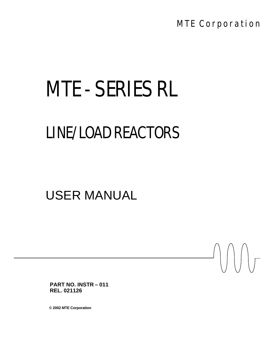MTE Corporation

 $\bigcap$ 

# MTE - SERIES RL

## LINE/LOAD REACTORS

### USER MANUAL

**PART NO. INSTR – 011 REL. 021126**

**© 2002 MTE Corporation**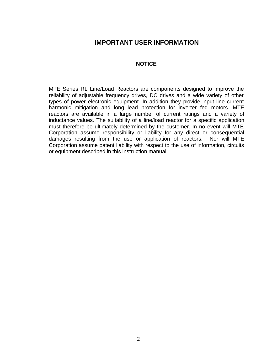#### **IMPORTANT USER INFORMATION**

#### **NOTICE**

MTE Series RL Line/Load Reactors are components designed to improve the reliability of adjustable frequency drives, DC drives and a wide variety of other types of power electronic equipment. In addition they provide input line current harmonic mitigation and long lead protection for inverter fed motors. MTE reactors are available in a large number of current ratings and a variety of inductance values. The suitability of a line/load reactor for a specific application must therefore be ultimately determined by the customer. In no event will MTE Corporation assume responsibility or liability for any direct or consequential damages resulting from the use or application of reactors. Nor will MTE Corporation assume patent liability with respect to the use of information, circuits or equipment described in this instruction manual.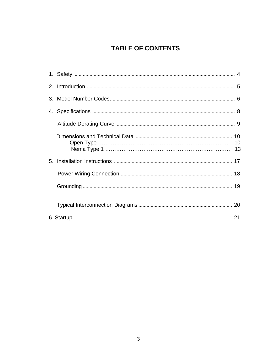### **TABLE OF CONTENTS**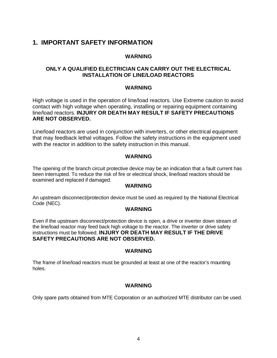#### **1. IMPORTANT SAFETY INFORMATION**

#### **WARNING**

#### **ONLY A QUALIFIED ELECTRICIAN CAN CARRY OUT THE ELECTRICAL INSTALLATION OF LINE/LOAD REACTORS**

#### **WARNING**

High voltage is used in the operation of line/load reactors. Use Extreme caution to avoid contact with high voltage when operating, installing or repairing equipment containing line/load reactors. **INJURY OR DEATH MAY RESULT IF SAFETY PRECAUTIONS ARE NOT OBSERVED.**

Line/load reactors are used in conjunction with inverters, or other electrical equipment that may feedback lethal voltages. Follow the safety instructions in the equipment used with the reactor in addition to the safety instruction in this manual.

#### **WARNING**

The opening of the branch circuit protective device may be an indication that a fault current has been interrupted. To reduce the risk of fire or electrical shock, line/load reactors should be examined and replaced if damaged.

#### **WARNING**

An upstream disconnect/protection device must be used as required by the National Electrical Code (NEC).

#### **WARNING**

Even if the upstream disconnect/protection device is open, a drive or inverter down stream of the line/load reactor may feed back high voltage to the reactor. The inverter or drive safety instructions must be followed. **INJURY OR DEATH MAY RESULT IF THE DRIVE SAFETY PRECAUTIONS ARE NOT OBSERVED.**

#### **WARNING**

The frame of line/load reactors must be grounded at least at one of the reactor's mounting holes.

#### **WARNING**

Only spare parts obtained from MTE Corporation or an authorized MTE distributor can be used.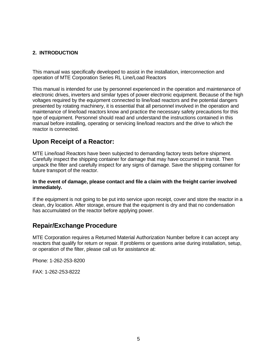#### **2. INTRODUCTION**

This manual was specifically developed to assist in the installation, interconnection and operation of MTE Corporation Series RL Line/Load Reactors

This manual is intended for use by personnel experienced in the operation and maintenance of electronic drives, inverters and similar types of power electronic equipment. Because of the high voltages required by the equipment connected to line/load reactors and the potential dangers presented by rotating machinery, it is essential that all personnel involved in the operation and maintenance of line/load reactors know and practice the necessary safety precautions for this type of equipment. Personnel should read and understand the instructions contained in this manual before installing, operating or servicing line/load reactors and the drive to which the reactor is connected.

#### **Upon Receipt of a Reactor:**

MTE Line/load Reactors have been subjected to demanding factory tests before shipment. Carefully inspect the shipping container for damage that may have occurred in transit. Then unpack the filter and carefully inspect for any signs of damage. Save the shipping container for future transport of the reactor.

#### **In the event of damage, please contact and file a claim with the freight carrier involved immediately.**

If the equipment is not going to be put into service upon receipt, cover and store the reactor in a clean, dry location. After storage, ensure that the equipment is dry and that no condensation has accumulated on the reactor before applying power.

#### **Repair/Exchange Procedure**

MTE Corporation requires a Returned Material Authorization Number before it can accept any reactors that qualify for return or repair. If problems or questions arise during installation, setup, or operation of the filter, please call us for assistance at:

Phone: 1-262-253-8200

FAX: 1-262-253-8222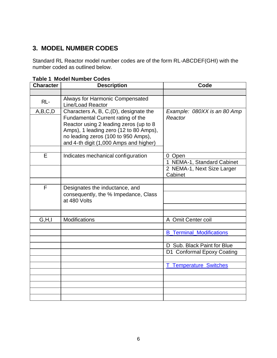#### **3. MODEL NUMBER CODES**

Standard RL Reactor model number codes are of the form RL-ABCDEF(GHI) with the number coded as outlined below.

| <b>Character</b> | <b>Description</b>                                                                                                                                                                                                                               | Code                                                               |  |  |
|------------------|--------------------------------------------------------------------------------------------------------------------------------------------------------------------------------------------------------------------------------------------------|--------------------------------------------------------------------|--|--|
|                  |                                                                                                                                                                                                                                                  |                                                                    |  |  |
| $RL -$           | Always for Harmonic Compensated<br>Line/Load Reactor                                                                                                                                                                                             |                                                                    |  |  |
| A,B,C,D          | Characters A, B, C, (D), designate the<br>Fundamental Current rating of the<br>Reactor using 2 leading zeros (up to 8<br>Amps), 1 leading zero (12 to 80 Amps),<br>no leading zeros (100 to 950 Amps),<br>and 4-th digit (1,000 Amps and higher) | Example: 080XX is an 80 Amp<br>Reactor                             |  |  |
| E                | Indicates mechanical configuration                                                                                                                                                                                                               | 0 Open<br>1 NEMA-1, Standard Cabinet<br>2 NEMA-1, Next Size Larger |  |  |
|                  |                                                                                                                                                                                                                                                  | Cabinet                                                            |  |  |
|                  |                                                                                                                                                                                                                                                  |                                                                    |  |  |
| F                | Designates the inductance, and<br>consequently, the % Impedance, Class<br>at 480 Volts                                                                                                                                                           |                                                                    |  |  |
|                  |                                                                                                                                                                                                                                                  |                                                                    |  |  |
| G.H,I            | <b>Modifications</b>                                                                                                                                                                                                                             | A Omit Center coil                                                 |  |  |
|                  |                                                                                                                                                                                                                                                  | <b>B_Terminal_Modifications</b>                                    |  |  |
|                  |                                                                                                                                                                                                                                                  | Sub. Black Paint for Blue<br>D<br>D1 Conformal Epoxy Coating       |  |  |
|                  |                                                                                                                                                                                                                                                  | <b>T_Temperature_Switches</b>                                      |  |  |
|                  |                                                                                                                                                                                                                                                  |                                                                    |  |  |
|                  |                                                                                                                                                                                                                                                  |                                                                    |  |  |
|                  |                                                                                                                                                                                                                                                  |                                                                    |  |  |
|                  |                                                                                                                                                                                                                                                  |                                                                    |  |  |

**Table 1 Model Number Codes**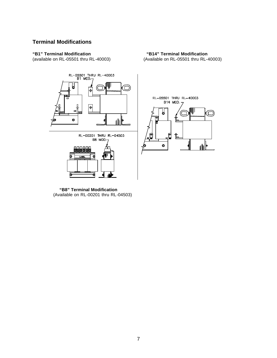#### **Terminal Modifications**

(available on RL-05501 thru RL-40003)



**"B1" Terminal Modification "B14" Terminal Modification**



 **"B8" Terminal Modification** (Available on RL-00201 thru RL-04503)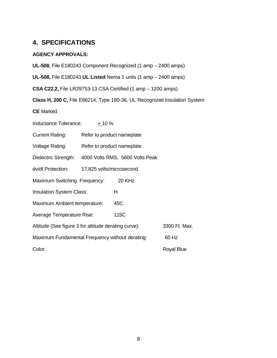#### **4. SPECIFICATIONS**

#### **AGENCY APPROVALS:**

**UL-508**, File E180243 Component Recognized (1 amp – 2400 amps) **UL-508,** File E180243 **UL Listed** Nema 1 units (1 amp – 2400 amps) **CSA C22.2,** File LR29753-13 CSA Certified (1 amp – 1200 amps) **Class H, 200 C,** File E66214, Type 180-36, UL Recognized Insulation System **CE** Marked Inductance Tolerance: + 10 % Current Rating: Refer to product nameplate Voltage Rating: Refer to product nameplate Dielectric Strength: 4000 Volts RMS, 5600 Volts Peak dv/dt Protection: 17,825 volts/microsecond Maximum Switching Frequency: 20 KHz Insulation System Class: H Maximum Ambient temperature: 45C Average Temperature Rise: 115C Altitude (See figure 3 for altitude derating curve): 3300 Ft. Max. Maximum Fundamental Frequency without derating: 60 Hz Color: Royal Blue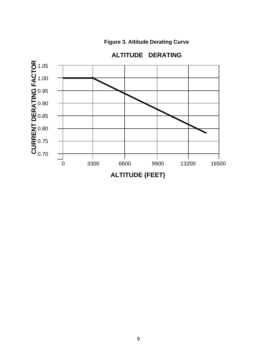**Figure 3. Altitude Derating Curve**



### **ALTITUDE DERATING**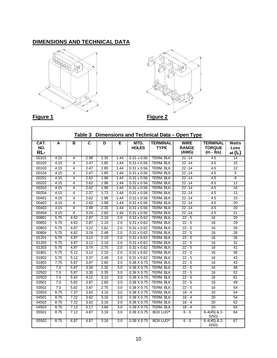#### **DIMENSIONS AND TECHNICAL DATA**





**Figure 1** 

|  | Figure |  |
|--|--------|--|
|--|--------|--|

| Dimensions and Technical Data - Open Type<br>Table 3 |      |                |                         |      |                  |                      |                                |                                      |                                                  |                                           |
|------------------------------------------------------|------|----------------|-------------------------|------|------------------|----------------------|--------------------------------|--------------------------------------|--------------------------------------------------|-------------------------------------------|
| CAT.<br>NO.<br>RL-                                   | Α    | в              | $\overline{\mathsf{c}}$ | D    | E                | MTG.<br><b>HOLES</b> | <b>TERMINAL</b><br><b>TYPE</b> | <b>WIRE</b><br><b>RANGE</b><br>(AWG) | <b>TERMINAL</b><br><b>TORQUE</b><br>$(in - lbs)$ | <b>Watts</b><br><b>Loss</b><br>at $(I_F)$ |
| 00101                                                | 4.15 | 4              | 2.98                    | 2.35 | 1.44             | $0.31 \times 0.56$   | <b>TERM. BLK</b>               | $22 - 14$                            | 4.5                                              | 14                                        |
| 00102                                                | 4.15 | 4              | 2.47                    | 1.85 | 1.44             | $0.31 \times 0.56$   | <b>TERM. BLK</b>               | $22 - 14$                            | 4.5                                              | 15                                        |
| 00103                                                | 4.15 | 4              | 2.47                    | 1.85 | 1.44             | $0.31 \times 0.56$   | <b>TERM. BLK</b>               | $22 - 14$                            | 4.5                                              | 12                                        |
| 00104                                                | 4.15 | 4              | 2.47                    | 1.85 | 1.44             | $0.31 \times 0.56$   | <b>TERM. BLK</b>               | $22 - 14$                            | 4.5                                              | 5                                         |
| 00201                                                | 4.15 | 4              | 2.62                    | 1.98 | 1.44             | $0.31 \times 0.56$   | <b>TERM. BLK</b>               | $22 - 14$                            | 4.5                                              | $\overline{8}$                            |
| 00202                                                | 4.15 | 4              | 2.62                    | 1.98 | 1.44             | $0.31 \times 0.56$   | <b>TERM. BLK</b>               | $22 - 14$                            | 4.5                                              | 12                                        |
| 00203                                                | 4.15 | 4              | 2.62                    | 1.98 | 1.44             | $0.31 \times 0.56$   | <b>TERM. BLK</b>               | $22 - 14$                            | 4.5                                              | 16                                        |
| 00204                                                | 4.15 | 4              | 2.37                    | 1.73 | 1.44             | $0.31 \times 0.56$   | <b>TERM. BLK</b>               | $22 - 14$                            | 4.5                                              | 11                                        |
| 00401                                                | 4.15 | 4              | 2.62                    | 1.98 | 1.44             | $0.31 \times 0.56$   | <b>TERM. BLK</b>               | $22 - 14$                            | 4.5                                              | 15                                        |
| 00402                                                | 4.15 | 4              | 2.62                    | 1.98 | 1.44             | $0.31 \times 0.56$   | <b>TERM. BLK</b>               | $22 - 14$                            | 4.5                                              | 20                                        |
| 00403                                                | 4.15 | 4              | 2.98                    | 2.35 | 1.44             | $0.31 \times 0.56$   | <b>TERM. BLK</b>               | $22 - 14$                            | 4.5                                              | 20                                        |
| 00404                                                | 4.15 | $\overline{4}$ | 3.24                    | 2.60 | 1.44             | $0.31 \times 0.56$   | <b>TERM. BLK</b>               | $22 - 14$                            | 4.5                                              | $\overline{21}$                           |
| 00801                                                | 5.75 | 4.62           | 2.87                    | 2.10 | 2.0              | $0.31 \times 0.62$   | <b>TERM. BLK</b>               | $22 - 5$                             | 16                                               | 20                                        |
| 00802                                                | 5.75 | 4.62           | 2.87                    | 2.10 | 2.0              | $0.31 \times 0.62$   | <b>TERM. BLK</b>               | $22 - 5$                             | 16                                               | 29                                        |
| 00803                                                | 5.75 | 4.87           | 3.22                    | 2.62 | 2.0              | $0.31 \times 0.62$   | <b>TERM. BLK</b>               | $22 - 5$                             | $\overline{16}$                                  | 26                                        |
| 00804                                                | 5.75 | 4.62           | 3.24                    | 2.48 | 2.0              | $0.31 \times 0.62$   | <b>TERM. BLK</b>               | $22 - 5$                             | 16                                               | 28                                        |
| 01201                                                | 5.75 | 4.87           | 3.12                    | 2.10 | 2.0              | $0.31 \times 0.62$   | <b>TERM. BLK</b>               | $22 - 5$                             | 16                                               | 26                                        |
| 01202                                                | 5.75 | 4.87           | 3.12                    | 2.10 | 2.0              | $0.31 \times 0.62$   | <b>TERM. BLK</b>               | $22 - 5$                             | 16                                               | 31                                        |
| 01203                                                | 5.75 | 4.87           | 3.74                    | 2.75 | $\overline{2.0}$ | $0.31 \times 0.62$   | <b>TERM. BLK</b>               | $22 - 5$                             | $\overline{16}$                                  | 41                                        |
| 01801                                                | 5.75 | 5.12           | 3.12                    | 2.10 | 2.0              | $0.31 \times 0.62$   | <b>TERM. BLK</b>               | $22 - 5$                             | 16                                               | 36                                        |
| 01802                                                | 5.75 | 5.12           | 3.37                    | 2.48 | 2.0              | $0.31 \times 0.62$   | <b>TERM. BLK</b>               | $22 - 5$                             | 16                                               | 43                                        |
| 01803                                                | 7.75 | 5.87           | 3.87                    | 2.60 | $\overline{3.0}$ | $0.38 \times 0.75$   | <b>TERM. BLK</b>               | $22 - 5$                             | 16                                               | 43                                        |
| 02501                                                | 7.0  | 5.87           | 3.30                    | 2.35 | $\overline{3.0}$ | $0.38 \times 0.75$   | <b>TERM. BLK</b>               | $22 - 5$                             | $\overline{16}$                                  | 48                                        |
| 02502                                                | 7.0  | 5.87           | 3.30                    | 2.35 | 3.0              | $0.38 \times 0.75$   | <b>TERM. BLK</b>               | $22 - 5$                             | 16                                               | 52                                        |
| 02503                                                | 7.0  | 5.62           | 4.12                    | 3.10 | 3.0              | $0.38 \times 0.75$   | <b>TERM. BLK</b>               | $22 - 5$                             | 16                                               | 61                                        |
| 03501                                                | 7.0  | 5.62           | 3.87                    | 2.60 | $\overline{3.0}$ | $0.38 \times 0.75$   | <b>TERM. BLK</b>               | $22 - 5$                             | 16                                               | 49                                        |
| 03502                                                | 7.0  | 5.62           | 3.87                    | 2.75 | $\overline{3.0}$ | $0.38 \times 0.75$   | <b>TERM. BLK</b>               | $22 - 5$                             | $\overline{16}$                                  | 54                                        |
| 03503                                                | 8.75 | 7.37           | 3.62                    | 3.16 | 3.0              | $0.38 \times 0.75$   | <b>TERM. BLK</b>               | $18 - 4$                             | 20                                               | 54                                        |
| 04501                                                | 8.75 | 7.22           | 3.62                    | 3.16 | 3.0              | $0.38 \times 0.75$   | <b>TERM. BLK</b>               | $18 - 4$                             | 20                                               | 54                                        |
| 04502                                                | 8.75 | 7.22           | 3.62                    | 3.16 | $\overline{3.0}$ | $0.38 \times 0.75$   | <b>TERM. BLK</b>               | $18 - 4$                             | 20                                               | 62                                        |
| 04503                                                | 8.75 | 7.12           | 5.17                    | 3.66 | $\overline{3.0}$ | $0.38 \times 0.75$   | <b>TERM. BLK</b>               | $18 - 4$                             | 20                                               | 65                                        |
| 05501                                                | 8.75 | 7.12           | 4.87                    | 3.16 | 3.0              | $0.38 \times 0.75$   | <b>BOX LUG*</b>                | $6 - 0$                              | $6-4(45)$ & 2-<br>0(50)                          | 64                                        |
| 05502                                                | 8.75 | 6.87           | 4.87                    | 3.16 | 3.0              | $0.38 \times 0.75$   | <b>BOX LUG*</b>                | $6 - 0$                              | $6-4(45)$ & 2-<br>0(50)                          | 67                                        |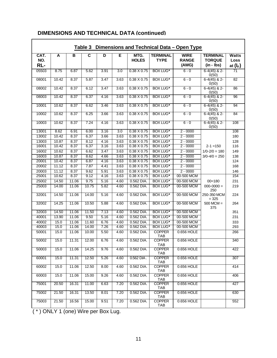| Dimensions and Technical Data - Open Type<br>Table 3 |       |       |                         |      |                  |                      |                                |                                      |                                                  |                                       |
|------------------------------------------------------|-------|-------|-------------------------|------|------------------|----------------------|--------------------------------|--------------------------------------|--------------------------------------------------|---------------------------------------|
| CAT.<br>NO.<br>RL-                                   | A     | B     | $\overline{\mathsf{c}}$ | D    | Е                | MTG.<br><b>HOLES</b> | <b>TERMINAL</b><br><b>TYPE</b> | <b>WIRE</b><br><b>RANGE</b><br>(AWG) | <b>TERMINAL</b><br><b>TORQUE</b><br>$(in - lbs)$ | Watts<br>Loss<br>at (I <sub>F</sub> ) |
| 05503                                                | 8.75  | 6.87  | 5.62                    | 3.91 | $\overline{3.0}$ | $0.38 \times 0.75$   | <b>BOX LUG*</b>                | $6 - 0$                              | $6-4(45)$ & 2-<br>0(50)                          | 71                                    |
| 08001                                                | 10.42 | 8.37  | 5.87                    | 3.47 | 3.63             | $0.38 \times 0.75$   | <b>BOX LUG*</b>                | $6 - 0$                              | $6-4(45)$ & 2-<br>0(50)                          | 82                                    |
| 08002                                                | 10.42 | 8.37  | 6.12                    | 3.47 | 3.63             | $0.38 \times 0.75$   | <b>BOX LUG*</b>                | $6 - 0$                              | $6-4(45)$ & 2-<br>0(50)                          | 86                                    |
| 08003                                                | 10.42 | 8.37  | 6.37                    | 4.16 | 3.63             | $0.38 \times 0.75$   | <b>BOX LUG*</b>                | $6 - 0$                              | $6-4(45)$ & 2-<br>0(50)                          | 96                                    |
| 10001                                                | 10.62 | 8.37  | 6.62                    | 3.46 | 3.63             | $0.38 \times 0.75$   | <b>BOX LUG*</b>                | $6 - 0$                              | $6-4(45)$ & 2-<br>0(50)                          | 94                                    |
| 10002                                                | 10.62 | 8.37  | 6.25                    | 3.66 | 3.63             | $0.38 \times 0.75$   | <b>BOX LUG*</b>                | $6 - 0$                              | $6-4(45)$ & 2-<br>0(50)                          | 84                                    |
| 10003                                                | 10.62 | 8.37  | 7.24                    | 4.16 | 3.63             | $0.38 \times 0.75$   | <b>BOX LUG*</b>                | $6 - 0$                              | $6-4(45)$ & 2-<br>0(50)                          | 108                                   |
| 13001                                                | 8.62  | 6.91  | 6.00                    | 3.16 | $\overline{3.0}$ | $0.38 \times 0.75$   | <b>BOX LUG*</b>                | $2 - 0000$                           |                                                  | 108                                   |
| 13002                                                | 10.42 | 8.37  | 6.37                    | 3.66 | 3.63             | $0.38 \times 0.75$   | <b>BOX LUG*</b>                | $2 - 0000$                           |                                                  | 180                                   |
| 13003                                                | 10.87 | 8.37  | 8.12                    | 4.16 | 3.63             | $0.38 \times 0.75$   | <b>BOX LUG*</b>                | $2 - 0000$                           |                                                  | 128                                   |
| 16001                                                | 10.42 | 8.37  | 6.37                    | 3.16 | 3.63             | $0.38 \times 0.75$   | <b>BOX LUG*</b>                | $2 - 0000$                           | $2 - 1 = 150$                                    | 116                                   |
| 16002                                                | 10.62 | 8.37  | 6.62                    | 3.47 | 3.63             | $0.38 \times 0.75$   | <b>BOX LUG*</b>                | $2 - 0000$                           | $1/0 - 2/0 = 180$                                | 149                                   |
| 16003                                                | 10.87 | 8.37  | 8.62                    | 4.66 | 3.63             | $0.38 \times 0.75$   | <b>BOX LUG*</b>                | $2 - 0000$                           | $3/0 - 4/0 = 250$                                | 138                                   |
| 20001                                                | 10.42 | 8.37  | 6.87                    | 4.16 | 3.63             | $0.38 \times 0.75$   | <b>BOX LUG*</b>                | $2 - 0000$                           |                                                  | 124                                   |
| 20002                                                | 11.12 | 8.37  | 7.87                    | 4.41 | 3.63             | $0.38 \times 0.75$   | <b>BOX LUG*</b>                | $2 - 0000$                           |                                                  | 168                                   |
| 20003                                                | 11.12 | 8.37  | 9.62                    | 5.91 | 3.63             | $0.38 \times 0.75$   | <b>BOX LUG*</b>                | $2 - 0000$                           |                                                  | 146                                   |
| 25001                                                | 10.62 | 8.37  | 9.12                    | 4.16 | 3.63             | $0.38 \times 0.75$   | <b>BOX LUG*</b>                | 00-500 MCM                           |                                                  | 154                                   |
| 25002                                                | 14.50 | 11.06 | 9.75                    | 5.16 | 4.60             | 0.562 DIA.           | <b>BOX LUG*</b>                | 00-500 MCM                           | $00=180$                                         | 231                                   |
| 25003                                                | 14.00 | 11.06 | 10.75                   | 5.82 | 4.60             | 0.562 DIA.           | <b>BOX LUG*</b>                | 00-500 MCM                           | $000 - 0000 =$<br>250                            | 219                                   |
| 32001                                                | 14.50 | 11.06 | 14.00                   | 5.16 | 4.60             | 0.562 DIA.           | <b>BOX LUG*</b>                | 00-500 MCM                           | 250-350 MCM<br>$= 325$                           | 224                                   |
| 32002                                                | 14.25 | 11.06 | 10.50                   | 5.88 | 4.60             | 0.562 DIA.           | <b>BOX LUG*</b>                | 00-500 MCM                           | $500$ MCM $=$<br>375                             | 264                                   |
| 32003                                                | 14.50 | 11.06 | 11.50                   | 7.13 | 4.60             | 0.562 DIA.           | <b>BOX LUG*</b>                | 00-500 MCM                           |                                                  | 351                                   |
| 40001                                                | 13.90 | 11.06 | 9.50                    | 5.16 | 4.60             | 0.562 DIA.           | <b>BOX LUG*</b>                | 00-500 MCM                           |                                                  | 231                                   |
| 40002                                                | 15.0  | 11.06 | 11.60                   | 6.76 | 4.60             | 0.562 DIA.           | <b>BOX LUG*</b>                | 00-500 MCM                           |                                                  | 333                                   |
| 40003                                                | 15.0  | 11.06 | 14.00                   | 7.26 | 4.60             | 0.562 DIA.           | <b>BOX LUG*</b>                | 00-500 MCM                           |                                                  | 293                                   |
| 50001                                                | 15.0  | 11.06 | 10.00                   | 5.50 | 4.60             | 0.562 DIA.           | <b>COPPER</b><br>TAB           | 0.656 HOLE                           |                                                  | 266                                   |
| 50002                                                | 15.0  | 11.31 | 12.00                   | 6.76 | 4.60             | 0.562 DIA.           | <b>COPPER</b><br>TAB           | 0.656 HOLE                           |                                                  | 340                                   |
| 50003                                                | 15.0  | 11.06 | 14.25                   | 9.76 | 4.60             | 0.562 DIA.           | <b>COPPER</b><br>TAB           | 0.656 HOLE                           |                                                  | 422                                   |
| 60001                                                | 15.0  | 11.31 | 12.50                   | 5.26 | 4.60             | 0.562 DIA.           | <b>COPPER</b><br>TAB           | 0.656 HOLE                           |                                                  | 307                                   |
| 60002                                                | 15.0  | 11.06 | 12.50                   | 8.00 | 4.60             | 0.562 DIA.           | <b>COPPER</b><br>TAB           | 0.656 HOLE                           |                                                  | 414                                   |
| 60003                                                | 15.0  | 11.06 | 15.00                   | 9.26 | 4.60             | 0.562 DIA.           | <b>COPPER</b><br>TAB           | 0.656 HOLE                           |                                                  | 406                                   |
| 75001                                                | 20.50 | 16.31 | 11.00                   | 6.63 | 7.20             | 0.562 DIA.           | <b>COPPER</b><br>TAB           | 0.656 HOLE                           |                                                  | 427                                   |
| 75002                                                | 21.50 | 16.31 | 13.50                   | 8.01 | 7.20             | 0.562 DIA.           | <b>COPPER</b><br>TAB           | 0.656 HOLE                           |                                                  | 630                                   |
| 75003                                                | 21.50 | 16.56 | 15.00                   | 9.51 | 7.20             | 0.562 DIA.           | <b>COPPER</b><br>TAB           | 0.656 HOLE                           |                                                  | 552                                   |

#### **DIMENSIONS AND TECHNICAL DATA (continued)**

( \* ) ONLY 1 (one) Wire per Box Lug.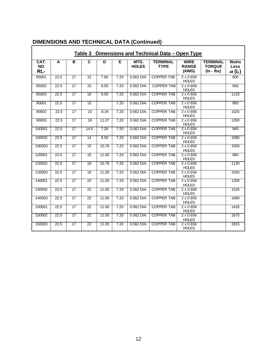| Table 3<br>Dimensions and Technical Data – Open Type |      |                 |                         |       |      |                      |                                |                                      |                                                  |                             |
|------------------------------------------------------|------|-----------------|-------------------------|-------|------|----------------------|--------------------------------|--------------------------------------|--------------------------------------------------|-----------------------------|
| CAT.<br>NO.<br>RL-                                   | A    | B               | $\overline{\mathbf{c}}$ | D     | Έ    | MTG.<br><b>HOLES</b> | <b>TERMINAL</b><br><b>TYPE</b> | <b>WIRE</b><br><b>RANGE</b><br>(AWG) | <b>TERMINAL</b><br><b>TORQUE</b><br>$(in - lbs)$ | Watts<br>Loss<br>at $(I_F)$ |
| 85001                                                | 22.5 | $\overline{17}$ | $\overline{12}$         | 7.60  | 7.20 | 0.562 DIA.           | <b>COPPER TAB</b>              | $2 \times 0.656$<br><b>HOLES</b>     |                                                  | 800                         |
| 85002                                                | 22.5 | $\overline{17}$ | $\overline{15}$         | 8.00  | 7.20 | 0.562 DIA.           | <b>COPPER TAB</b>              | $2 \times 0.656$<br><b>HOLES</b>     |                                                  | 930                         |
| 85003                                                | 22.5 | 17              | 18                      | 9.00  | 7.20 | 0.562 DIA.           | <b>COPPER TAB</b>              | $2 \times 0.656$<br><b>HOLES</b>     |                                                  | 1133                        |
| 90001                                                | 22.5 | 17              | 15                      |       | 7.20 | 0.562 DIA.           | <b>COPPER TAB</b>              | $2 \times 0.656$<br><b>HOLES</b>     |                                                  | 900                         |
| 90002                                                | 22.5 | 17              | 15                      | 8.26  | 7.20 | 0.562 DIA.           | <b>COPPER TAB</b>              | $2 \times 0.656$<br><b>HOLES</b>     |                                                  | 1025                        |
| 90003                                                | 22.5 | 17              | $\overline{18}$         | 11.07 | 7.20 | 0.562 DIA.           | <b>COPPER TAB</b>              | $2 \times 0.656$<br><b>HOLES</b>     |                                                  | 1350                        |
| 100001                                               | 22.5 | 17              | 14.5                    | 7.26  | 7.20 | 0.562 DIA.           | <b>COPPER TAB</b>              | $2 \times 0.656$<br><b>HOLES</b>     |                                                  | 940                         |
| 100002                                               | 22.5 | 17              | $\overline{14}$         | 8.50  | 7.20 | 0.562 DIA.           | <b>COPPER TAB</b>              | $2 \times 0.656$<br><b>HOLES</b>     |                                                  | 1090                        |
| 100003                                               | 22.5 | 17              | 15                      | 10.76 | 7.20 | 0.562 DIA.           | <b>COPPER TAB</b>              | $2 \times 0.656$<br><b>HOLES</b>     |                                                  | 1500                        |
| 120001                                               | 22.5 | $\overline{17}$ | $\overline{15}$         | 11.00 | 7.20 | 0.562 DIA.           | <b>COPPER TAB</b>              | $2 \times 0.656$<br><b>HOLES</b>     |                                                  | 980                         |
| 120002                                               | 22.5 | 17              | $\overline{18}$         | 10.76 | 7.20 | 0.562 DIA.           | <b>COPPER TAB</b>              | $2 \times 0.656$<br><b>HOLES</b>     |                                                  | 1130                        |
| 120003                                               | 22.5 | $\overline{17}$ | $\overline{18}$         | 11.00 | 7.20 | 0.562 DIA.           | <b>COPPER TAB</b>              | $2 \times 0.656$<br><b>HOLES</b>     |                                                  | 1550                        |
| 140001                                               | 22.5 | 17              | 22                      | 11.00 | 7.20 | 0.562 DIA.           | <b>COPPER TAB</b>              | $2 \times 0.656$<br><b>HOLES</b>     |                                                  | 1200                        |
| 140002                                               | 22.5 | 17              | $\overline{22}$         | 11.00 | 7.20 | 0.562 DIA.           | <b>COPPER TAB</b>              | $2 \times 0.656$<br><b>HOLES</b>     |                                                  | 1525                        |
| 140003                                               | 22.5 | 17              | $\overline{22}$         | 11.00 | 7.20 | 0.562 DIA.           | <b>COPPER TAB</b>              | $2 \times 0.656$<br><b>HOLES</b>     |                                                  | 1680                        |
| 150001                                               | 22.5 | $\overline{17}$ | 22                      | 11.00 | 7.20 | 0.562 DIA.           | <b>COPPER TAB</b>              | $2 \times 0.656$<br><b>HOLES</b>     |                                                  | 1435                        |
| 150002                                               | 22.5 | $\overline{17}$ | $\overline{22}$         | 11.00 | 7.20 | 0.562 DIA.           | <b>COPPER TAB</b>              | $2 \times 0.656$<br><b>HOLES</b>     |                                                  | 1675                        |
| 150003                                               | 22.5 | 17              | $\overline{22}$         | 11.00 | 7.20 | 0.562 DIA.           | <b>COPPER TAB</b>              | $2 \times 0.656$<br><b>HOLES</b>     |                                                  | 1815                        |

#### **DIMENSIONS AND TECHNICAL DATA (Continued)**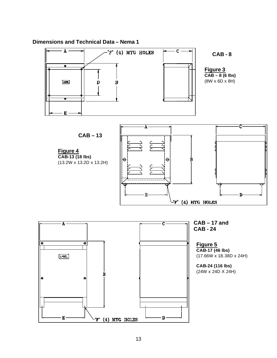

#### **Dimensions and Technical Data – Nema 1**

 $E -$ 

 $-F'$  (4) MTG HOLES

 $\mathbf{D}$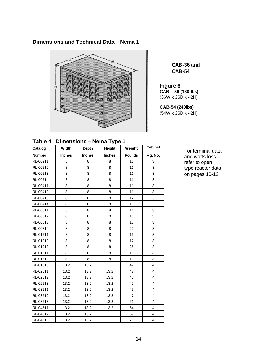#### **Dimensions and Technical Data – Nema 1**



**CAB-36 and CAB-54**

**Figure 6 CAB – 36 (180 lbs)** (36W x 26D x 42H)

**CAB-54 (240lbs)** (54W x 26D x 42H)

**Table 4 Dimensions – Nema Type 1**

| Catalog       | Width         | Depth         | Height        | Weight        | <b>Cabinet</b>          |
|---------------|---------------|---------------|---------------|---------------|-------------------------|
| <b>Number</b> | <b>Inches</b> | <b>Inches</b> | <b>Inches</b> | <b>Pounds</b> | Fig. No.                |
| RL-00211      | 8             | 8             | 8             | 11            | 3                       |
| RL-00212      | 8             | 8             | 8             | 11            | 3                       |
| RL-00213      | 8             | 8             | 8             | 11            | 3                       |
| RL-00214      | 8             | 8             | 8             | 11            | 3                       |
| RL-00411      | 8             | 8             | 8             | 11            | 3                       |
| RL-00412      | 8             | 8             | 8             | 11            | 3                       |
| RL-00413      | 8             | 8             | 8             | 12            | 3                       |
| RL-00414      | 8             | 8             | 8             | 13            | 3                       |
| RL-00811      | 8             | 8             | 8             | 14            | 3                       |
| RL-00812      | 8             | 8             | 8             | 15            | 3                       |
| RL-00813      | 8             | 8             | 8             | 18            | 3                       |
| RL-00814      | 8             | 8             | 8             | 20            | 3                       |
| RL-01211      | 8             | 8             | 8             | 16            | 3                       |
| RL-01212      | 8             | 8             | 8             | 17            | 3                       |
| RL-01213      | 8             | 8             | 8             | 25            | 3                       |
| RL-01811      | 8             | 8             | 8             | 16            | 3                       |
| RL-01812      | 8             | 8             | 8             | 19            | 3                       |
| RL-01813      | 13.2          | 13.2          | 13.2          | 47            | $\overline{\mathbf{4}}$ |
| RL-02511      | 13.2          | 13.2          | 13.2          | 42            | 4                       |
| RL-02512      | 13.2          | 13.2          | 13.2          | 45            | 4                       |
| RL-02513      | 13.2          | 13.2          | 13.2          | 49            | $\overline{\mathbf{4}}$ |
| RL-03511      | 13.2          | 13.2          | 13.2          | 45            | $\overline{4}$          |
| RL-03512      | 13.2          | 13.2          | 13.2          | 47            | $\overline{\mathbf{4}}$ |
| RL-03513      | 13.2          | 13.2          | 13.2          | 61            | $\overline{4}$          |
| RL-04511      | 13.2          | 13.2          | 13.2          | 54            | $\overline{4}$          |
| RL-04512      | 13.2          | 13.2          | 13.2          | 59            | $\overline{4}$          |
| RL-04513      | 13.2          | 13.2          | 13.2          | 70            | $\overline{\mathbf{4}}$ |

For terminal data and watts loss, refer to open type reactor data on pages 10-12.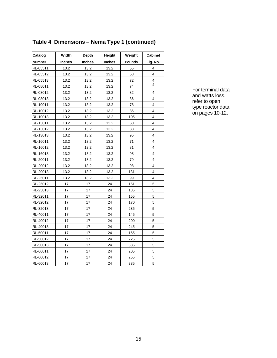| Catalog       | Width         | Depth         | Height        | Weight        | <b>Cabinet</b>          |
|---------------|---------------|---------------|---------------|---------------|-------------------------|
| <b>Number</b> | <b>Inches</b> | <b>Inches</b> | <b>Inches</b> | <b>Pounds</b> | Fig. No.                |
| RL-05511      | 13.2          | 13.2          | 13.2          | 55            | 4                       |
| RL-05512      | 13.2          | 13.2          | 13.2          | 58            | $\overline{\mathbf{4}}$ |
| RL-05513      | 13.2          | 13.2          | 13.2          | 72            | 4                       |
| RL-08011      | 13.2          | 13.2          | 13.2          | 74            | 4                       |
| RL-08012      | 13.2          | 13.2          | 13.2          | 82            | 4                       |
| RL-08013      | 13.2          | 13.2          | 13.2          | 86            | 4                       |
| RL-10011      | 13.2          | 13.2          | 13.2          | 78            | 4                       |
| RL-10012      | 13.2          | 13.2          | 13.2          | 86            | 4                       |
| RL-10013      | 13.2          | 13.2          | 13.2          | 105           | 4                       |
| RL-13011      | 13.2          | 13.2          | 13.2          | 60            | 4                       |
| RL-13012      | 13.2          | 13.2          | 13.2          | 88            | $\overline{\mathbf{4}}$ |
| RL-13013      | 13.2          | 13.2          | 13.2          | 95            | 4                       |
| RL-16011      | 13.2          | 13.2          | 13.2          | 71            | 4                       |
| RL-16012      | 13.2          | 13.2          | 13.2          | 81            | 4                       |
| RL-16013      | 13.2          | 13.2          | 13.2          | 98            | 4                       |
| RL-20011      | 13.2          | 13.2          | 13.2          | 79            | 4                       |
| RL-20012      | 13.2          | 13.2          | 13.2          | 98            | 4                       |
| RL-20013      | 13.2          | 13.2          | 13.2          | 131           | 4                       |
| RL-25011      | 13.2          | 13.2          | 13.2          | 99            | 4                       |
| RL-25012      | 17            | 17            | 24            | 151           | 5                       |
| RL-25013      | 17            | 17            | 24            | 185           | 5                       |
| RL-32011      | 17            | 17            | 24            | 155           | 5                       |
| RL-32012      | 17            | 17            | 24            | 170           | 5                       |
| RL-32013      | 17            | 17            | 24            | 235           | 5                       |
| RL-40011      | 17            | 17            | 24            | 145           | 5                       |
| RL-40012      | 17            | 17            | 24            | 200           | 5                       |
| RL-40013      | 17            | 17            | 24            | 245           | 5                       |
| RL-50011      | 17            | 17            | 24            | 165           | 5                       |
| RL-50012      | 17            | 17            | 24            | 225           | 5                       |
| RL-50013      | 17            | 17            | 24            | 335           | 5                       |
| RL-60011      | 17            | 17            | 24            | 205           | 5                       |
| RL-60012      | 17            | 17            | 24            | 255           | 5                       |
| RL-60013      | 17            | 17            | 24            | 335           | 5                       |

#### **Table 4 Dimensions – Nema Type 1 (continued)**

For terminal data and watts loss, refer to open type reactor data on pages 10-12.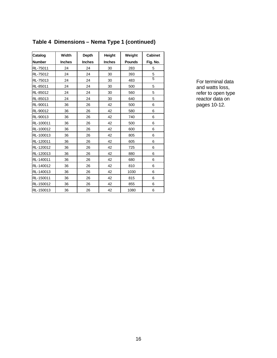| Catalog       | Width         | <b>Depth</b>  | <b>Height</b> | Weight        | <b>Cabinet</b> |
|---------------|---------------|---------------|---------------|---------------|----------------|
| <b>Number</b> | <b>Inches</b> | <b>Inches</b> | <b>Inches</b> | <b>Pounds</b> | Fig. No.       |
| RL-75011      | 24            | 24            | 30            | 283           | 5              |
| RL-75012      | 24            | 24            | 30            | 393           | 5              |
| RL-75013      | 24            | 24            | 30            | 483           | $\overline{5}$ |
| RL-85011      | 24            | 24            | 30            | 500           | 5              |
| RL-85012      | 24            | 24            | 30            | 560           | 5              |
| RL-85013      | 24            | 24            | 30            | 640           | 5              |
| RL-90011      | 36            | 26            | 42            | 500           | 6              |
| RL-90012      | 36            | 26            | 42            | 580           | 6              |
| RL-90013      | 36            | 26            | 42            | 740           | 6              |
| RL-100011     | 36            | 26            | 42            | 500           | 6              |
| RL-100012     | 36            | 26            | 42            | 600           | 6              |
| RL-100013     | 36            | 26            | 42            | 805           | 6              |
| RL-120011     | 36            | 26            | 42            | 605           | 6              |
| RL-120012     | 36            | 26            | 42            | 725           | 6              |
| RL-120013     | 36            | 26            | 42            | 880           | 6              |
| RL-140011     | 36            | 26            | 42            | 680           | 6              |
| RL-140012     | 36            | 26            | 42            | 810           | 6              |
| RL-140013     | 36            | 26            | 42            | 1030          | 6              |
| RL-150011     | 36            | 26            | 42            | 815           | 6              |
| RL-150012     | 36            | 26            | 42            | 855           | 6              |
| RL-150013     | 36            | 26            | 42            | 1080          | 6              |

#### **Table 4 Dimensions – Nema Type 1 (continued)**

For terminal data and watts loss, refer to open type reactor data on pages 10-12.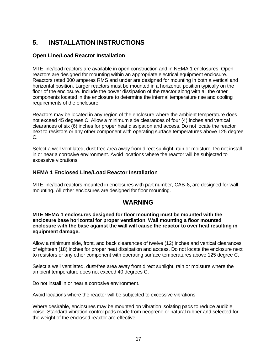### **5. INSTALLATION INSTRUCTIONS**

#### **Open Line/Load Reactor Installation**

MTE line/load reactors are available in open construction and in NEMA 1 enclosures. Open reactors are designed for mounting within an appropriate electrical equipment enclosure. Reactors rated 300 amperes RMS and under are designed for mounting in both a vertical and horizontal position. Larger reactors must be mounted in a horizontal position typically on the floor of the enclosure. Include the power dissipation of the reactor along with all the other components located in the enclosure to determine the internal temperature rise and cooling requirements of the enclosure.

Reactors may be located in any region of the enclosure where the ambient temperature does not exceed 45 degrees C. Allow a minimum side clearances of four (4) inches and vertical clearances of six (6) inches for proper heat dissipation and access. Do not locate the reactor next to resistors or any other component with operating surface temperatures above 125 degree C.

Select a well ventilated, dust-free area away from direct sunlight, rain or moisture. Do not install in or near a corrosive environment. Avoid locations where the reactor will be subjected to excessive vibrations.

#### **NEMA 1 Enclosed Line/Load Reactor Installation**

MTE line/load reactors mounted in enclosures with part number, CAB-8, are designed for wall mounting. All other enclosures are designed for floor mounting.

#### **WARNING**

#### **MTE NEMA 1 enclosures designed for floor mounting must be mounted with the enclosure base horizontal for proper ventilation. Wall mounting a floor mounted enclosure with the base against the wall will cause the reactor to over heat resulting in equipment damage.**

Allow a minimum side, front, and back clearances of twelve (12) inches and vertical clearances of eighteen (18) inches for proper heat dissipation and access. Do not locate the enclosure next to resistors or any other component with operating surface temperatures above 125 degree C.

Select a well ventilated, dust-free area away from direct sunlight, rain or moisture where the ambient temperature does not exceed 40 degrees C.

Do not install in or near a corrosive environment.

Avoid locations where the reactor will be subjected to excessive vibrations.

Where desirable, enclosures may be mounted on vibration isolating pads to reduce audible noise. Standard vibration control pads made from neoprene or natural rubber and selected for the weight of the enclosed reactor are effective.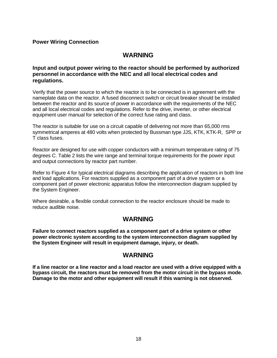#### **Power Wiring Connection**

#### **WARNING**

#### **Input and output power wiring to the reactor should be performed by authorized personnel in accordance with the NEC and all local electrical codes and regulations.**

Verify that the power source to which the reactor is to be connected is in agreement with the nameplate data on the reactor. A fused disconnect switch or circuit breaker should be installed between the reactor and its source of power in accordance with the requirements of the NEC and all local electrical codes and regulations. Refer to the drive, inverter, or other electrical equipment user manual for selection of the correct fuse rating and class.

The reactor is suitable for use on a circuit capable of delivering not more than 65,000 rms symmetrical amperes at 480 volts when protected by Bussman type JJS, KTK, KTK-R, SPP or T class fuses.

Reactor are designed for use with copper conductors with a minimum temperature rating of 75 degrees C. Table 2 lists the wire range and terminal torque requirements for the power input and output connections by reactor part number.

Refer to Figure 4 for typical electrical diagrams describing the application of reactors in both line and load applications. For reactors supplied as a component part of a drive system or a component part of power electronic apparatus follow the interconnection diagram supplied by the System Engineer.

Where desirable, a flexible conduit connection to the reactor enclosure should be made to reduce audible noise.

#### **WARNING**

**Failure to connect reactors supplied as a component part of a drive system or other power electronic system according to the system interconnection diagram supplied by the System Engineer will result in equipment damage, injury, or death.** 

#### **WARNING**

**If a line reactor or a line reactor and a load reactor are used with a drive equipped with a bypass circuit, the reactors must be removed from the motor circuit in the bypass mode. Damage to the motor and other equipment will result if this warning is not observed.**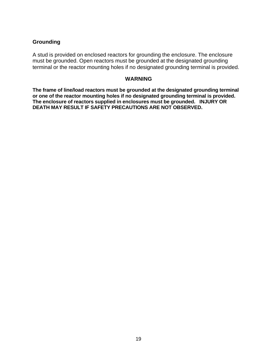#### **Grounding**

A stud is provided on enclosed reactors for grounding the enclosure. The enclosure must be grounded. Open reactors must be grounded at the designated grounding terminal or the reactor mounting holes if no designated grounding terminal is provided.

#### **WARNING**

**The frame of line/load reactors must be grounded at the designated grounding terminal or one of the reactor mounting holes if no designated grounding terminal is provided. The enclosure of reactors supplied in enclosures must be grounded. INJURY OR DEATH MAY RESULT IF SAFETY PRECAUTIONS ARE NOT OBSERVED.**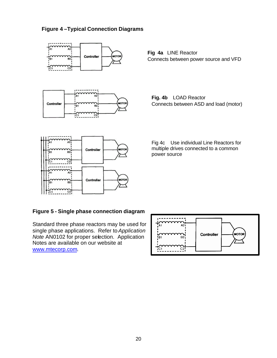#### **Figure 4 –Typical Connection Diagrams**



**Fig 4a** LINE Reactor Connects between power source and VFD

**Fig. 4b** LOAD Reactor Connects between ASD and load (motor)

Fig 4c Use individual Line Reactors for multiple drives connected to a common power source

#### **Figure 5 - Single phase connection diagram**

Standard three phase reactors may be used for single phase applications. Refer to *Application Note* AN0102 for proper selection. Application Notes are available on our website at www.mtecorp.com.